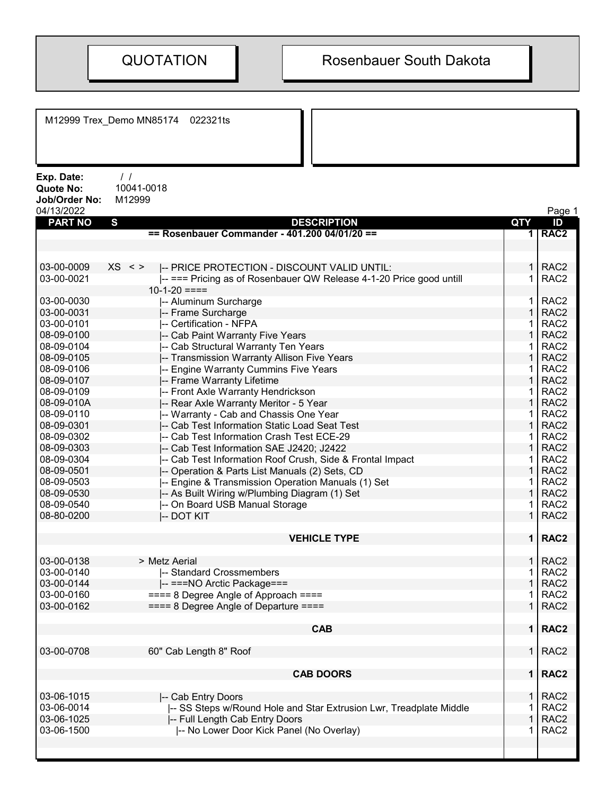M12999 Trex\_Demo MN85174 022321ts Exp. Date: / / Quote No: 10041-0018 Job/Order No: M12999 04/13/2022 Page 1 PART NO S DESCRIPTION QTY ID == Rosenbauer Commander - 401.200 04/01/20 == 1 1 1 1 1 1 RAC2 03-00-0009 XS <> I-- PRICE PROTECTION - DISCOUNT VALID UNTIL:  $\vert$  1 RAC2 03-00-0021 |-- === Pricing as of Rosenbauer QW Release 4-1-20 Price good untill  $10-1-20 == ==$ 1 RAC2 03-00-0030 |-- Aluminum Surcharge 1 | 1 | RAC2 03-00-0031 |-- Frame Surcharge 1 | 1 | RAC2 03-00-0101 |-- Certification - NFPA 1 | RAC2 08-09-0100 |-- Cab Paint Warranty Five Years 1 | RAC2<br>08-09-0104 |-- Cab Structural Warranty Ten Years 1 | RAC2 08-09-0104 - Cab Structural Warranty Ten Years 1 RAC22 - 1 RAC22 - 1 RAC22 - 1 RAC22 - 1 08-09-0105 |-- Transmission Warranty Allison Five Years 1 | 1 | RAC2 08-09-0106 |-- Engine Warranty Cummins Five Years 1 RAC2 08-09-0107 |-- Frame Warranty Lifetime 1 | 1 | RAC2 08-09-0109 |-- Front Axle Warranty Hendrickson 1 RAC2 08-09-010A |-- Rear Axle Warranty Meritor - 5 Year 1 | 1 | RAC2 08-09-0110 |-- Warranty - Cab and Chassis One Year 1 RAC2 08-09-0301 |-- Cab Test Information Static Load Seat Test 1 RAC2 08-09-0302 |-- Cab Test Information Crash Test ECE-29 | 1 RAC2 08-09-0303 |-- Cab Test Information SAE J2420; J2422 | 1 | RAC2 08-09-0304 |-- Cab Test Information Roof Crush, Side & Frontal Impact | 1 RAC2 08-09-0501 |-- Operation & Parts List Manuals (2) Sets, CD | 1 RAC2 08-09-0503 |-- Engine & Transmission Operation Manuals (1) Set 1 | 1 | RAC2 08-09-0530 **|-- As Built Wiring w/Plumbing Diagram (1) Set | 1 | RAC2** 08-09-0540 |-- On Board USB Manual Storage 1 | 1 | RAC2 08-80-0200 |-- DOT KIT 1 RAC2 VEHICLE TYPE 1 RAC2 03-00-0138 > Metz Aerial 1 RAC2 03-00-0140 |-- Standard Crossmembers 1 RAC2 03-00-0144 |-- ===NO Arctic Package=== 1 RAC2 03-00-0160 ==== 8 Degree Angle of Approach ==== 1 RAC2 03-00-0162  $\equiv$  === 8 Degree Angle of Departure ==== 1  $\mid$  1 RAC2  $\begin{array}{|c|c|c|c|c|}\n\hline\n\text{CAB} & 1 & \text{RAC2}\n\hline\n\end{array}$ 03-00-0708 60" Cab Length 8" Roof 1 RAC2 CAB DOORS 1 RAC2 03-06-1015 - |-- Cab Entry Doors<br>03-06-0014 - |-- SS Steps w/Round Hole and Star Extrusion Lwr. Treadplate Middle - | 1 RAC2 03-06-0014 **|-- SS Steps w/Round Hole and Star Extrusion Lwr, Treadplate Middle** | RAC2 03-06-1025 |-- Full Length Cab Entry Doors | 1 RAC2 03-06-1500 |-- No Lower Door Kick Panel (No Overlay) 1 RAC2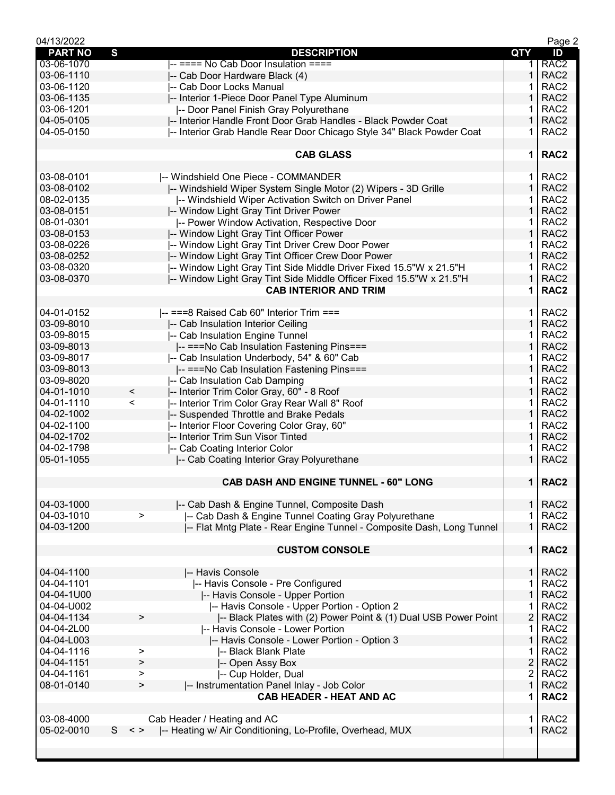| 04/13/2022     |                                                                             |                | Page 2           |
|----------------|-----------------------------------------------------------------------------|----------------|------------------|
| <b>PART NO</b> | $\mathbf{s}$<br><b>DESCRIPTION</b>                                          | <b>QTY</b>     | ID               |
| 03-06-1070     | -- ==== No Cab Door Insulation ====                                         | 1.             | RAC <sub>2</sub> |
| 03-06-1110     | -- Cab Door Hardware Black (4)                                              | $\mathbf{1}$   | RAC <sub>2</sub> |
| 03-06-1120     | I-- Cab Door Locks Manual                                                   | 1              | RAC <sub>2</sub> |
| 03-06-1135     | -- Interior 1-Piece Door Panel Type Aluminum                                | 1              | RAC <sub>2</sub> |
| 03-06-1201     | -- Door Panel Finish Gray Polyurethane                                      |                | RAC <sub>2</sub> |
| 04-05-0105     | -- Interior Handle Front Door Grab Handles - Black Powder Coat              | 1              | RAC <sub>2</sub> |
| 04-05-0150     | -- Interior Grab Handle Rear Door Chicago Style 34" Black Powder Coat       | 1              | RAC <sub>2</sub> |
|                |                                                                             |                |                  |
|                | <b>CAB GLASS</b>                                                            | $\mathbf 1$    | RAC <sub>2</sub> |
|                |                                                                             |                |                  |
| 03-08-0101     | -- Windshield One Piece - COMMANDER                                         | 1.             | RAC <sub>2</sub> |
| 03-08-0102     | -- Windshield Wiper System Single Motor (2) Wipers - 3D Grille              | 1.             | RAC <sub>2</sub> |
| 08-02-0135     | -- Windshield Wiper Activation Switch on Driver Panel                       | 1              | RAC <sub>2</sub> |
| 03-08-0151     | -- Window Light Gray Tint Driver Power                                      | 1              | RAC <sub>2</sub> |
| 08-01-0301     |                                                                             | 1.             | RAC <sub>2</sub> |
|                | -- Power Window Activation, Respective Door                                 |                |                  |
| 03-08-0153     | -- Window Light Gray Tint Officer Power                                     | $\mathbf{1}$   | RAC <sub>2</sub> |
| 03-08-0226     | -- Window Light Gray Tint Driver Crew Door Power                            | 1.             | RAC <sub>2</sub> |
| 03-08-0252     | -- Window Light Gray Tint Officer Crew Door Power                           | $\mathbf{1}$   | RAC <sub>2</sub> |
| 03-08-0320     | -- Window Light Gray Tint Side Middle Driver Fixed 15.5"W x 21.5"H          | 1              | RAC <sub>2</sub> |
| 03-08-0370     | -- Window Light Gray Tint Side Middle Officer Fixed 15.5"W x 21.5"H         | 1              | RAC <sub>2</sub> |
|                | <b>CAB INTERIOR AND TRIM</b>                                                | 1              | RAC <sub>2</sub> |
|                |                                                                             |                |                  |
| 04-01-0152     | $\left  \text{---} \right $ ===8 Raised Cab 60" Interior Trim ===           | $\mathbf 1$    | RAC <sub>2</sub> |
| 03-09-8010     | -- Cab Insulation Interior Ceiling                                          | $\mathbf{1}$   | RAC <sub>2</sub> |
| 03-09-8015     | -- Cab Insulation Engine Tunnel                                             | 1              | RAC <sub>2</sub> |
| 03-09-8013     | -- === No Cab Insulation Fastening Pins===                                  | $\mathbf 1$    | RAC <sub>2</sub> |
| 03-09-8017     | -- Cab Insulation Underbody, 54" & 60" Cab                                  | 1              | RAC <sub>2</sub> |
| 03-09-8013     | -- ===No Cab Insulation Fastening Pins===                                   | 1              | RAC <sub>2</sub> |
| 03-09-8020     | -- Cab Insulation Cab Damping                                               | 1              | RAC <sub>2</sub> |
| 04-01-1010     | $\,<$<br>-- Interior Trim Color Gray, 60" - 8 Roof                          | 1              | RAC <sub>2</sub> |
| 04-01-1110     | $\,<\,$<br>-- Interior Trim Color Gray Rear Wall 8" Roof                    | 1.             | RAC <sub>2</sub> |
| 04-02-1002     | -- Suspended Throttle and Brake Pedals                                      | $\mathbf{1}$   | RAC <sub>2</sub> |
| 04-02-1100     | -- Interior Floor Covering Color Gray, 60"                                  | 1              | RAC <sub>2</sub> |
| 04-02-1702     | -- Interior Trim Sun Visor Tinted                                           | $\mathbf{1}$   | RAC <sub>2</sub> |
| 04-02-1798     | -- Cab Coating Interior Color                                               | 1              | RAC <sub>2</sub> |
| 05-01-1055     |                                                                             | $\mathbf 1$    | RAC <sub>2</sub> |
|                | -- Cab Coating Interior Gray Polyurethane                                   |                |                  |
|                | CAB DASH AND ENGINE TUNNEL - 60" LONG                                       |                | 1   RAC2         |
|                |                                                                             |                |                  |
| 04-03-1000     |                                                                             |                | $1$ RAC2         |
|                | -- Cab Dash & Engine Tunnel, Composite Dash                                 |                |                  |
| 04-03-1010     | -- Cab Dash & Engine Tunnel Coating Gray Polyurethane<br>$\geq$             | 1.             | RAC <sub>2</sub> |
| 04-03-1200     | -- Flat Mntg Plate - Rear Engine Tunnel - Composite Dash, Long Tunnel       | $\mathbf{1}$   | RAC <sub>2</sub> |
|                |                                                                             |                |                  |
|                | <b>CUSTOM CONSOLE</b>                                                       | 1 <sup>1</sup> | RAC <sub>2</sub> |
|                |                                                                             |                |                  |
| 04-04-1100     | -- Havis Console                                                            | 1 <sup>1</sup> | RAC <sub>2</sub> |
| 04-04-1101     | -- Havis Console - Pre Configured                                           | 1.             | RAC <sub>2</sub> |
| 04-04-1U00     | -- Havis Console - Upper Portion                                            | $\mathbf{1}$   | RAC <sub>2</sub> |
| 04-04-U002     | I-- Havis Console - Upper Portion - Option 2                                | $\mathbf 1$    | RAC <sub>2</sub> |
| 04-04-1134     | -- Black Plates with (2) Power Point & (1) Dual USB Power Point<br>$\,>$    | $\overline{2}$ | RAC <sub>2</sub> |
| 04-04-2L00     | -- Havis Console - Lower Portion                                            | 1.             | RAC <sub>2</sub> |
| 04-04-L003     | I-- Havis Console - Lower Portion - Option 3                                | 1              | RAC <sub>2</sub> |
| 04-04-1116     | -- Black Blank Plate<br>>                                                   | 1              | RAC <sub>2</sub> |
| 04-04-1151     | -- Open Assy Box<br>>                                                       | $\overline{2}$ | RAC <sub>2</sub> |
| 04-04-1161     | -- Cup Holder, Dual<br>>                                                    | $\overline{2}$ | RAC <sub>2</sub> |
| 08-01-0140     | $\geq$<br>-- Instrumentation Panel Inlay - Job Color                        | $\mathbf{1}$   | RAC <sub>2</sub> |
|                | <b>CAB HEADER - HEAT AND AC</b>                                             | 1              | RAC <sub>2</sub> |
|                |                                                                             |                |                  |
| 03-08-4000     | Cab Header / Heating and AC                                                 | 1.             | RAC <sub>2</sub> |
| 05-02-0010     | S.<br>$\,<\,>$<br>-- Heating w/ Air Conditioning, Lo-Profile, Overhead, MUX | $\mathbf 1$    | RAC <sub>2</sub> |
|                |                                                                             |                |                  |
|                |                                                                             |                |                  |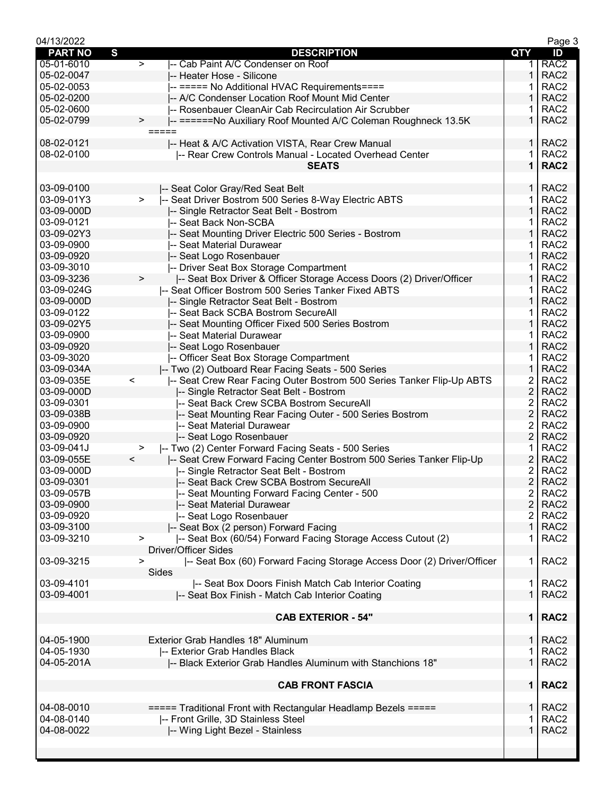| 04/13/2022     |                                                                                  |                         | Page 3           |
|----------------|----------------------------------------------------------------------------------|-------------------------|------------------|
| <b>PART NO</b> | S<br><b>DESCRIPTION</b>                                                          | <b>QTY</b>              | ID               |
| 05-01-6010     | $\overline{ }$<br>-- Cab Paint A/C Condenser on Roof                             | 1.                      | RAC <sub>2</sub> |
| 05-02-0047     | -- Heater Hose - Silicone                                                        | 1                       | RAC <sub>2</sub> |
| 05-02-0053     | -- ===== No Additional HVAC Requirements====                                     | 1                       | RAC <sub>2</sub> |
| 05-02-0200     | -- A/C Condenser Location Roof Mount Mid Center                                  | 1                       | RAC <sub>2</sub> |
| 05-02-0600     | -- Rosenbauer CleanAir Cab Recirculation Air Scrubber                            |                         | RAC <sub>2</sub> |
| 05-02-0799     | -- ======No Auxiliary Roof Mounted A/C Coleman Roughneck 13.5K<br>$\, > \,$      | 1                       | RAC <sub>2</sub> |
|                | =====                                                                            |                         |                  |
| 08-02-0121     | -- Heat & A/C Activation VISTA, Rear Crew Manual                                 | $\mathbf{1}$            | RAC <sub>2</sub> |
| 08-02-0100     | -- Rear Crew Controls Manual - Located Overhead Center                           | 1.                      | RAC <sub>2</sub> |
|                | <b>SEATS</b>                                                                     | $\mathbf 1$             | RAC <sub>2</sub> |
| 03-09-0100     | -- Seat Color Gray/Red Seat Belt                                                 | 1.                      | RAC <sub>2</sub> |
| 03-09-01Y3     | -- Seat Driver Bostrom 500 Series 8-Way Electric ABTS<br>$\geq$                  | 1                       | RAC <sub>2</sub> |
| 03-09-000D     | -- Single Retractor Seat Belt - Bostrom                                          | 1                       | RAC <sub>2</sub> |
| 03-09-0121     | -- Seat Back Non-SCBA                                                            | 1                       | RAC <sub>2</sub> |
| 03-09-02Y3     | -- Seat Mounting Driver Electric 500 Series - Bostrom                            | 1                       | RAC <sub>2</sub> |
| 03-09-0900     | -- Seat Material Durawear                                                        | 1                       | RAC <sub>2</sub> |
| 03-09-0920     | -- Seat Logo Rosenbauer                                                          | 1                       | RAC <sub>2</sub> |
| 03-09-3010     | -- Driver Seat Box Storage Compartment                                           | 1                       | RAC <sub>2</sub> |
| 03-09-3236     | -- Seat Box Driver & Officer Storage Access Doors (2) Driver/Officer<br>$\, >$   | 1                       | RAC <sub>2</sub> |
| 03-09-024G     | -- Seat Officer Bostrom 500 Series Tanker Fixed ABTS                             | 1                       | RAC <sub>2</sub> |
| 03-09-000D     | -- Single Retractor Seat Belt - Bostrom                                          | 1                       | RAC <sub>2</sub> |
| 03-09-0122     | -- Seat Back SCBA Bostrom SecureAll                                              | 1                       | RAC <sub>2</sub> |
| 03-09-02Y5     | -- Seat Mounting Officer Fixed 500 Series Bostrom                                | 1                       | RAC <sub>2</sub> |
| 03-09-0900     | l-- Seat Material Durawear                                                       | 1                       | RAC <sub>2</sub> |
| 03-09-0920     | -- Seat Logo Rosenbauer                                                          | 1                       | RAC <sub>2</sub> |
| 03-09-3020     | -- Officer Seat Box Storage Compartment                                          | 1                       | RAC <sub>2</sub> |
| 03-09-034A     | -- Two (2) Outboard Rear Facing Seats - 500 Series                               | 1                       | RAC <sub>2</sub> |
| 03-09-035E     | -- Seat Crew Rear Facing Outer Bostrom 500 Series Tanker Flip-Up ABTS<br>$\,<\,$ | 2                       | RAC <sub>2</sub> |
| 03-09-000D     | -- Single Retractor Seat Belt - Bostrom                                          | $\overline{c}$          | RAC <sub>2</sub> |
| 03-09-0301     | -- Seat Back Crew SCBA Bostrom SecureAll                                         | 2                       | RAC <sub>2</sub> |
| 03-09-038B     | -- Seat Mounting Rear Facing Outer - 500 Series Bostrom                          | $\overline{2}$          | RAC <sub>2</sub> |
| 03-09-0900     | -- Seat Material Durawear                                                        | 2                       | RAC <sub>2</sub> |
| 03-09-0920     | -- Seat Logo Rosenbauer                                                          | $\overline{c}$          | RAC <sub>2</sub> |
| 03-09-041J     | -- Two (2) Center Forward Facing Seats - 500 Series<br>>                         | 1                       | RAC <sub>2</sub> |
| 03-09-055E     | I-- Seat Crew Forward Facing Center Bostrom 500 Series Tanker Flip-Up<br>$\prec$ | $\overline{c}$          | RAC <sub>2</sub> |
| 03-09-000D     | -- Single Retractor Seat Belt - Bostrom                                          | 2                       | RAC <sub>2</sub> |
| 03-09-0301     | -- Seat Back Crew SCBA Bostrom SecureAll                                         | $\overline{2}$          | RAC <sub>2</sub> |
| 03-09-057B     | -- Seat Mounting Forward Facing Center - 500                                     | $\overline{\mathbf{c}}$ | RAC <sub>2</sub> |
| 03-09-0900     | -- Seat Material Durawear                                                        | $\overline{2}$          | RAC <sub>2</sub> |
| 03-09-0920     | -- Seat Logo Rosenbauer                                                          | $\overline{2}$          | RAC <sub>2</sub> |
| 03-09-3100     | -- Seat Box (2 person) Forward Facing                                            | $\mathbf 1$             | RAC <sub>2</sub> |
| 03-09-3210     | -- Seat Box (60/54) Forward Facing Storage Access Cutout (2)<br>$\,>\,$          | 1                       | RAC <sub>2</sub> |
|                | <b>Driver/Officer Sides</b>                                                      |                         |                  |
| 03-09-3215     | -- Seat Box (60) Forward Facing Storage Access Door (2) Driver/Officer<br>>      | 1.                      | RAC <sub>2</sub> |
|                | <b>Sides</b>                                                                     |                         |                  |
| 03-09-4101     | -- Seat Box Doors Finish Match Cab Interior Coating                              | $\mathbf 1$             | RAC <sub>2</sub> |
| 03-09-4001     | -- Seat Box Finish - Match Cab Interior Coating                                  | $\mathbf{1}$            | RAC <sub>2</sub> |
|                |                                                                                  |                         |                  |
|                | <b>CAB EXTERIOR - 54"</b>                                                        |                         | 1   RAC2         |
|                |                                                                                  |                         |                  |
| 04-05-1900     | Exterior Grab Handles 18" Aluminum                                               | 1.                      | RAC <sub>2</sub> |
| 04-05-1930     | -- Exterior Grab Handles Black                                                   |                         | RAC <sub>2</sub> |
| 04-05-201A     | -- Black Exterior Grab Handles Aluminum with Stanchions 18"                      | $\mathbf 1$             | RAC <sub>2</sub> |
|                |                                                                                  |                         |                  |
|                | <b>CAB FRONT FASCIA</b>                                                          |                         | 1   RAC2         |
| 04-08-0010     | ===== Traditional Front with Rectangular Headlamp Bezels =====                   | 1 <sup>1</sup>          | RAC <sub>2</sub> |
| 04-08-0140     | -- Front Grille, 3D Stainless Steel                                              | 1                       | RAC <sub>2</sub> |
| 04-08-0022     | -- Wing Light Bezel - Stainless                                                  | 1                       | RAC <sub>2</sub> |
|                |                                                                                  |                         |                  |
|                |                                                                                  |                         |                  |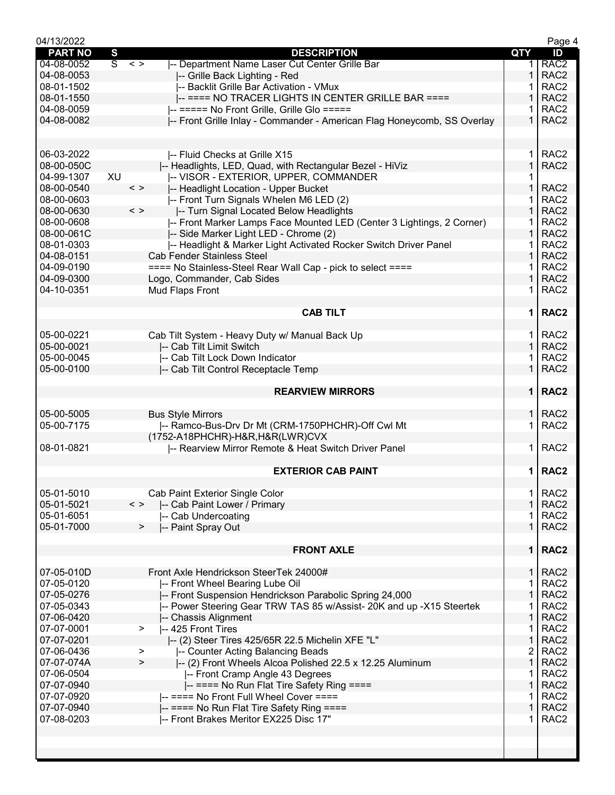| 04/13/2022     |                                                                                 |                | Page 4           |
|----------------|---------------------------------------------------------------------------------|----------------|------------------|
| <b>PART NO</b> | S<br><b>DESCRIPTION</b>                                                         | QTY            | ID               |
| 04-08-0052     | $\overline{s}$<br>-- Department Name Laser Cut Center Grille Bar<br>$\langle$ > | 1.             | RAC <sub>2</sub> |
| 04-08-0053     | -- Grille Back Lighting - Red                                                   | $\mathbf 1$    | RAC <sub>2</sub> |
| 08-01-1502     | -- Backlit Grille Bar Activation - VMux                                         |                | RAC <sub>2</sub> |
| 08-01-1550     | -- ==== NO TRACER LIGHTS IN CENTER GRILLE BAR ====                              | 1              | RAC <sub>2</sub> |
| 04-08-0059     | -- ===== No Front Grille, Grille Glo =====                                      |                | RAC <sub>2</sub> |
| 04-08-0082     | -- Front Grille Inlay - Commander - American Flag Honeycomb, SS Overlay         | $\mathbf 1$    | RAC <sub>2</sub> |
|                |                                                                                 |                |                  |
|                |                                                                                 |                |                  |
| 06-03-2022     | -- Fluid Checks at Grille X15                                                   | 1.             | RAC <sub>2</sub> |
| 08-00-050C     | -- Headlights, LED, Quad, with Rectangular Bezel - HiViz                        | $\mathbf{1}$   | RAC <sub>2</sub> |
| 04-99-1307     | XU<br> -- VISOR - EXTERIOR, UPPER, COMMANDER                                    | 1              |                  |
| 08-00-0540     | $\langle$ ><br>-- Headlight Location - Upper Bucket                             | 1              | RAC <sub>2</sub> |
| 08-00-0603     | -- Front Turn Signals Whelen M6 LED (2)                                         |                | RAC <sub>2</sub> |
| 08-00-0630     | $\langle$ ><br>-- Turn Signal Located Below Headlights                          | $\mathbf{1}$   | RAC <sub>2</sub> |
| 08-00-0608     | -- Front Marker Lamps Face Mounted LED (Center 3 Lightings, 2 Corner)           |                | RAC <sub>2</sub> |
| 08-00-061C     | -- Side Marker Light LED - Chrome (2)                                           | $\mathbf{1}$   | RAC <sub>2</sub> |
| 08-01-0303     | -- Headlight & Marker Light Activated Rocker Switch Driver Panel                | 1              | RAC <sub>2</sub> |
| 04-08-0151     | <b>Cab Fender Stainless Steel</b>                                               | $\mathbf{1}$   | RAC <sub>2</sub> |
| 04-09-0190     | ==== No Stainless-Steel Rear Wall Cap - pick to select ====                     |                | RAC <sub>2</sub> |
| 04-09-0300     | Logo, Commander, Cab Sides                                                      | $\mathbf 1$    | RAC <sub>2</sub> |
| 04-10-0351     | Mud Flaps Front                                                                 | 1              | RAC <sub>2</sub> |
|                |                                                                                 |                |                  |
|                | <b>CAB TILT</b>                                                                 | $\mathbf 1$    | RAC <sub>2</sub> |
|                |                                                                                 |                |                  |
| 05-00-0221     | Cab Tilt System - Heavy Duty w/ Manual Back Up                                  | 1.             | RAC <sub>2</sub> |
| 05-00-0021     | -- Cab Tilt Limit Switch                                                        | $\mathbf{1}$   | RAC <sub>2</sub> |
| 05-00-0045     | -- Cab Tilt Lock Down Indicator                                                 |                | RAC <sub>2</sub> |
| 05-00-0100     | -- Cab Tilt Control Receptacle Temp                                             | 1              | RAC <sub>2</sub> |
|                |                                                                                 |                |                  |
|                | <b>REARVIEW MIRRORS</b>                                                         | 1 <sup>1</sup> | RAC <sub>2</sub> |
|                |                                                                                 |                |                  |
| 05-00-5005     | <b>Bus Style Mirrors</b>                                                        |                | $1$ RAC2         |
| 05-00-7175     | -- Ramco-Bus-Drv Dr Mt (CRM-1750PHCHR)-Off Cwl Mt                               | 1.             | RAC <sub>2</sub> |
|                | (1752-A18PHCHR)-H&R, H&R(LWR)CVX                                                |                |                  |
| 08-01-0821     | -- Rearview Mirror Remote & Heat Switch Driver Panel                            | 1.             | RAC <sub>2</sub> |
|                |                                                                                 |                |                  |
|                | <b>EXTERIOR CAB PAINT</b>                                                       | $\mathbf 1$    | RAC <sub>2</sub> |
|                |                                                                                 |                |                  |
| 05-01-5010     | Cab Paint Exterior Single Color                                                 | 1              | RAC <sub>2</sub> |
| 05-01-5021     | $\langle$ ><br>-- Cab Paint Lower / Primary                                     | $\mathbf{1}$   | RAC <sub>2</sub> |
| 05-01-6051     | -- Cab Undercoating                                                             | 1              | RAC <sub>2</sub> |
| 05-01-7000     | -- Paint Spray Out<br>>                                                         | $\mathbf{1}$   | RAC <sub>2</sub> |
|                |                                                                                 |                |                  |
|                | <b>FRONT AXLE</b>                                                               | $\mathbf 1$    | RAC <sub>2</sub> |
|                |                                                                                 |                |                  |
| 07-05-010D     | Front Axle Hendrickson SteerTek 24000#                                          | $\mathbf{1}$   | RAC <sub>2</sub> |
| 07-05-0120     | -- Front Wheel Bearing Lube Oil                                                 | 1              | RAC <sub>2</sub> |
| 07-05-0276     | -- Front Suspension Hendrickson Parabolic Spring 24,000                         | $\mathbf{1}$   | RAC <sub>2</sub> |
| 07-05-0343     | -- Power Steering Gear TRW TAS 85 w/Assist- 20K and up -X15 Steertek            | 1              | RAC <sub>2</sub> |
| 07-06-0420     | -- Chassis Alignment                                                            | 1              | RAC <sub>2</sub> |
| 07-07-0001     | -- 425 Front Tires<br>$\geq$                                                    | 1              | RAC <sub>2</sub> |
| 07-07-0201     | I-- (2) Steer Tires 425/65R 22.5 Michelin XFE "L"                               | 1              | RAC <sub>2</sub> |
| 07-06-0436     | -- Counter Acting Balancing Beads<br>>                                          | $\overline{c}$ | RAC <sub>2</sub> |
| 07-07-074A     | -- (2) Front Wheels Alcoa Polished 22.5 x 12.25 Aluminum<br>>                   | $\mathbf{1}$   | RAC <sub>2</sub> |
| 07-06-0504     | -- Front Cramp Angle 43 Degrees                                                 | 1              | RAC <sub>2</sub> |
| 07-07-0940     | -- ==== No Run Flat Tire Safety Ring ====                                       | $\mathbf{1}$   | RAC <sub>2</sub> |
| 07-07-0920     | -- ==== No Front Full Wheel Cover ====                                          | 1              | RAC <sub>2</sub> |
| 07-07-0940     | -- ==== No Run Flat Tire Safety Ring ====                                       | 1              | RAC <sub>2</sub> |
| 07-08-0203     | -- Front Brakes Meritor EX225 Disc 17"                                          | 1              | RAC <sub>2</sub> |
|                |                                                                                 |                |                  |
|                |                                                                                 |                |                  |
|                |                                                                                 |                |                  |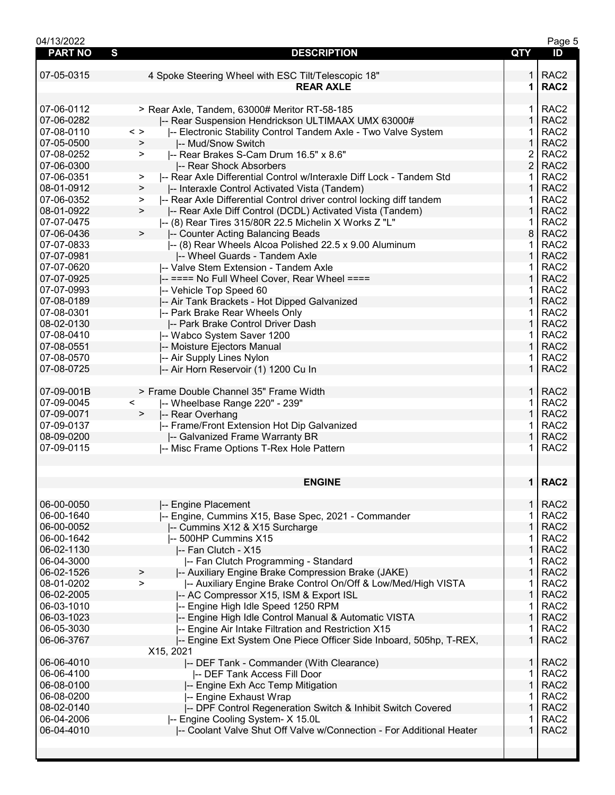| 04/13/2022     |                                                                                |                | Page 5           |
|----------------|--------------------------------------------------------------------------------|----------------|------------------|
| <b>PART NO</b> | S<br><b>DESCRIPTION</b>                                                        | <b>QTY</b>     | ID               |
|                |                                                                                |                |                  |
| 07-05-0315     | 4 Spoke Steering Wheel with ESC Tilt/Telescopic 18"                            | 1.             | RAC <sub>2</sub> |
|                | <b>REAR AXLE</b>                                                               | 1              | RAC <sub>2</sub> |
|                |                                                                                |                |                  |
| 07-06-0112     | > Rear Axle, Tandem, 63000# Meritor RT-58-185                                  | $\mathbf 1$    | RAC <sub>2</sub> |
| 07-06-0282     | -- Rear Suspension Hendrickson ULTIMAAX UMX 63000#                             | $\mathbf{1}$   | RAC <sub>2</sub> |
| 07-08-0110     | $\,<\,>$<br>-- Electronic Stability Control Tandem Axle - Two Valve System     | 1.             | RAC <sub>2</sub> |
| 07-05-0500     | -- Mud/Snow Switch<br>>                                                        | $\mathbf 1$    | RAC <sub>2</sub> |
| 07-08-0252     | -- Rear Brakes S-Cam Drum 16.5" x 8.6"<br>$\geq$                               | 2              | RAC <sub>2</sub> |
| 07-06-0300     | -- Rear Shock Absorbers                                                        | $\overline{2}$ | RAC <sub>2</sub> |
| 07-06-0351     | -- Rear Axle Differential Control w/Interaxle Diff Lock - Tandem Std<br>>      | 1.             | RAC <sub>2</sub> |
| 08-01-0912     | -- Interaxle Control Activated Vista (Tandem)<br>$\geq$                        | $\mathbf{1}$   | RAC <sub>2</sub> |
| 07-06-0352     | -- Rear Axle Differential Control driver control locking diff tandem<br>$\geq$ | 1.             | RAC <sub>2</sub> |
| 08-01-0922     | -- Rear Axle Diff Control (DCDL) Activated Vista (Tandem)<br>$\geq$            | $\mathbf{1}$   | RAC <sub>2</sub> |
| 07-07-0475     | -- (8) Rear Tires 315/80R 22.5 Michelin X Works Z "L"                          | 1.             | RAC <sub>2</sub> |
| 07-06-0436     | $\geq$<br>-- Counter Acting Balancing Beads                                    | 8              | RAC <sub>2</sub> |
| 07-07-0833     | -- (8) Rear Wheels Alcoa Polished 22.5 x 9.00 Aluminum                         | 1.             | RAC <sub>2</sub> |
| 07-07-0981     | -- Wheel Guards - Tandem Axle                                                  | 1              | RAC <sub>2</sub> |
| 07-07-0620     | -- Valve Stem Extension - Tandem Axle                                          | 1              | RAC <sub>2</sub> |
| 07-07-0925     | -- ==== No Full Wheel Cover, Rear Wheel ====                                   | $\mathbf{1}$   | RAC <sub>2</sub> |
| 07-07-0993     | -- Vehicle Top Speed 60                                                        | $\mathbf{1}$   | RAC <sub>2</sub> |
| 07-08-0189     | -- Air Tank Brackets - Hot Dipped Galvanized                                   | $\mathbf{1}$   | RAC <sub>2</sub> |
| 07-08-0301     | -- Park Brake Rear Wheels Only                                                 | 1.             | RAC <sub>2</sub> |
| 08-02-0130     | -- Park Brake Control Driver Dash                                              | $\mathbf 1$    | RAC <sub>2</sub> |
| 07-08-0410     | -- Wabco System Saver 1200                                                     | 1.             | RAC <sub>2</sub> |
| 07-08-0551     | -- Moisture Ejectors Manual                                                    | $\mathbf 1$    | RAC <sub>2</sub> |
| 07-08-0570     | -- Air Supply Lines Nylon                                                      | 1              | RAC <sub>2</sub> |
| 07-08-0725     | -- Air Horn Reservoir (1) 1200 Cu In                                           | $\mathbf{1}$   | RAC <sub>2</sub> |
|                |                                                                                |                |                  |
| 07-09-001B     | > Frame Double Channel 35" Frame Width                                         | 1 <sup>1</sup> | RAC <sub>2</sub> |
| 07-09-0045     | $\lt$<br>-- Wheelbase Range 220" - 239"                                        | $\mathbf{1}$   | RAC <sub>2</sub> |
| 07-09-0071     | -- Rear Overhang<br>$\geq$                                                     | $\mathbf 1$    | RAC <sub>2</sub> |
| 07-09-0137     | -- Frame/Front Extension Hot Dip Galvanized                                    | 1              | RAC <sub>2</sub> |
| 08-09-0200     | -- Galvanized Frame Warranty BR                                                | 1              | RAC <sub>2</sub> |
| 07-09-0115     | -- Misc Frame Options T-Rex Hole Pattern                                       | 1              | RAC <sub>2</sub> |
|                |                                                                                |                |                  |
|                |                                                                                |                |                  |
|                | <b>ENGINE</b>                                                                  |                | 1   RAC2         |
|                |                                                                                |                |                  |
| 06-00-0050     | -- Engine Placement                                                            | 1.             | RAC <sub>2</sub> |
| 06-00-1640     | -- Engine, Cummins X15, Base Spec, 2021 - Commander                            | 1              | RAC <sub>2</sub> |
| 06-00-0052     | -- Cummins X12 & X15 Surcharge                                                 | 1              | RAC <sub>2</sub> |
| 06-00-1642     | -- 500HP Cummins X15                                                           | 1              | RAC <sub>2</sub> |
| 06-02-1130     | -- Fan Clutch - X15                                                            | $\mathbf 1$    | RAC <sub>2</sub> |
| 06-04-3000     | -- Fan Clutch Programming - Standard                                           | 1.             | RAC <sub>2</sub> |
| 06-02-1526     | -- Auxiliary Engine Brake Compression Brake (JAKE)<br>>                        | $\mathbf{1}$   | RAC <sub>2</sub> |
| 08-01-0202     | -- Auxiliary Engine Brake Control On/Off & Low/Med/High VISTA<br>$\geq$        | 1.             | RAC <sub>2</sub> |
| 06-02-2005     | -- AC Compressor X15, ISM & Export ISL                                         | $\mathbf 1$    | RAC <sub>2</sub> |
| 06-03-1010     | -- Engine High Idle Speed 1250 RPM                                             | 1              | RAC <sub>2</sub> |
| 06-03-1023     | -- Engine High Idle Control Manual & Automatic VISTA                           | $\mathbf 1$    | RAC <sub>2</sub> |
| 06-05-3030     | -- Engine Air Intake Filtration and Restriction X15                            | 1              | RAC <sub>2</sub> |
| 06-06-3767     | -- Engine Ext System One Piece Officer Side Inboard, 505hp, T-REX,             | $\mathbf 1$    | RAC <sub>2</sub> |
|                | X15, 2021                                                                      |                |                  |
| 06-06-4010     | -- DEF Tank - Commander (With Clearance)                                       | 1 <sup>1</sup> | RAC <sub>2</sub> |
| 06-06-4100     | -- DEF Tank Access Fill Door                                                   | 1.             | RAC <sub>2</sub> |
| 06-08-0100     | -- Engine Exh Acc Temp Mitigation                                              | 1              | RAC <sub>2</sub> |
| 06-08-0200     | -- Engine Exhaust Wrap                                                         | 1              | RAC <sub>2</sub> |
| 08-02-0140     | -- DPF Control Regeneration Switch & Inhibit Switch Covered                    | 1              | RAC <sub>2</sub> |
| 06-04-2006     | -- Engine Cooling System- X 15.0L                                              | 1              | RAC <sub>2</sub> |
| 06-04-4010     | -- Coolant Valve Shut Off Valve w/Connection - For Additional Heater           | $\mathbf{1}$   | RAC <sub>2</sub> |
|                |                                                                                |                |                  |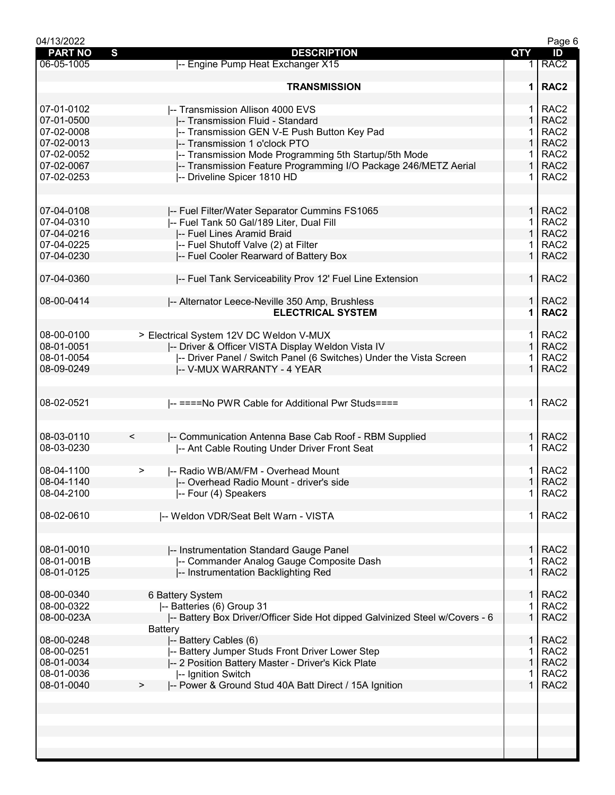| 04/13/2022     |                                                                             |                   | Page 6           |
|----------------|-----------------------------------------------------------------------------|-------------------|------------------|
| <b>PART NO</b> | S<br><b>DESCRIPTION</b>                                                     | <b>QTY</b>        | ID               |
| 06-05-1005     | -- Engine Pump Heat Exchanger X15                                           |                   | RAC <sub>2</sub> |
|                |                                                                             |                   |                  |
|                | <b>TRANSMISSION</b>                                                         | 1                 | RAC <sub>2</sub> |
|                |                                                                             |                   |                  |
| 07-01-0102     | -- Transmission Allison 4000 EVS                                            | 1.                | RAC <sub>2</sub> |
| 07-01-0500     | -- Transmission Fluid - Standard                                            | $\mathbf{1}$      | RAC <sub>2</sub> |
|                |                                                                             |                   | RAC <sub>2</sub> |
| 07-02-0008     | -- Transmission GEN V-E Push Button Key Pad                                 | 1                 |                  |
| 07-02-0013     | -- Transmission 1 o'clock PTO                                               | $\mathbf{1}$      | RAC <sub>2</sub> |
| 07-02-0052     | -- Transmission Mode Programming 5th Startup/5th Mode                       | 1.                | RAC <sub>2</sub> |
| 07-02-0067     | -- Transmission Feature Programming I/O Package 246/METZ Aerial             | $\mathbf{1}$      | RAC <sub>2</sub> |
| 07-02-0253     | -- Driveline Spicer 1810 HD                                                 | 1.                | RAC <sub>2</sub> |
|                |                                                                             |                   |                  |
|                |                                                                             |                   |                  |
| 07-04-0108     | -- Fuel Filter/Water Separator Cummins FS1065                               | $\mathbf{1}$      | RAC <sub>2</sub> |
| 07-04-0310     | -- Fuel Tank 50 Gal/189 Liter, Dual Fill                                    | 1.                | RAC <sub>2</sub> |
| 07-04-0216     | -- Fuel Lines Aramid Braid                                                  | $\mathbf{1}$      | RAC <sub>2</sub> |
| 07-04-0225     | -- Fuel Shutoff Valve (2) at Filter                                         | 1.                | RAC <sub>2</sub> |
| 07-04-0230     | -- Fuel Cooler Rearward of Battery Box                                      | $\mathbf{1}$      | RAC <sub>2</sub> |
|                |                                                                             |                   |                  |
|                |                                                                             |                   | RAC <sub>2</sub> |
| 07-04-0360     | -- Fuel Tank Serviceability Prov 12' Fuel Line Extension                    | 1.                |                  |
|                |                                                                             |                   |                  |
| 08-00-0414     | -- Alternator Leece-Neville 350 Amp, Brushless                              | $\mathbf{1}$      | RAC <sub>2</sub> |
|                | <b>ELECTRICAL SYSTEM</b>                                                    | 1                 | RAC <sub>2</sub> |
|                |                                                                             |                   |                  |
| 08-00-0100     | > Electrical System 12V DC Weldon V-MUX                                     | 1.                | RAC <sub>2</sub> |
| 08-01-0051     | -- Driver & Officer VISTA Display Weldon Vista IV                           | $\mathbf{1}$      | RAC <sub>2</sub> |
| 08-01-0054     | -- Driver Panel / Switch Panel (6 Switches) Under the Vista Screen          |                   | RAC <sub>2</sub> |
| 08-09-0249     | -- V-MUX WARRANTY - 4 YEAR                                                  | $\mathbf 1$       | RAC <sub>2</sub> |
|                |                                                                             |                   |                  |
|                |                                                                             |                   |                  |
| 08-02-0521     | -- ====No PWR Cable for Additional Pwr Studs====                            | $\mathbf 1$       | RAC <sub>2</sub> |
|                |                                                                             |                   |                  |
|                |                                                                             |                   |                  |
| 08-03-0110     | -- Communication Antenna Base Cab Roof - RBM Supplied<br>$\,<\,$            | $\mathbf{1}$      | RAC <sub>2</sub> |
| 08-03-0230     |                                                                             |                   | RAC <sub>2</sub> |
|                | -- Ant Cable Routing Under Driver Front Seat                                |                   |                  |
|                |                                                                             |                   |                  |
| 08-04-1100     | -- Radio WB/AM/FM - Overhead Mount<br>>                                     | 1<br>$\mathbf{1}$ | RAC <sub>2</sub> |
| 08-04-1140     | -- Overhead Radio Mount - driver's side                                     |                   | RAC <sub>2</sub> |
| 08-04-2100     | -- Four (4) Speakers                                                        | 1                 | RAC <sub>2</sub> |
|                |                                                                             |                   |                  |
| 08-02-0610     | -- Weldon VDR/Seat Belt Warn - VISTA                                        | $\mathbf 1$       | RAC <sub>2</sub> |
|                |                                                                             |                   |                  |
|                |                                                                             |                   |                  |
| 08-01-0010     | -- Instrumentation Standard Gauge Panel                                     | 1                 | RAC <sub>2</sub> |
| 08-01-001B     | -- Commander Analog Gauge Composite Dash                                    |                   | RAC <sub>2</sub> |
| 08-01-0125     | -- Instrumentation Backlighting Red                                         | 1                 | RAC <sub>2</sub> |
|                |                                                                             |                   |                  |
| 08-00-0340     | 6 Battery System                                                            | $\mathbf{1}$      | RAC <sub>2</sub> |
| 08-00-0322     | -- Batteries (6) Group 31                                                   | 1                 | RAC <sub>2</sub> |
| 08-00-023A     | -- Battery Box Driver/Officer Side Hot dipped Galvinized Steel w/Covers - 6 | $\mathbf{1}$      | RAC <sub>2</sub> |
|                | <b>Battery</b>                                                              |                   |                  |
|                |                                                                             | 1                 | RAC <sub>2</sub> |
| 08-00-0248     | -- Battery Cables (6)                                                       |                   |                  |
| 08-00-0251     | -- Battery Jumper Studs Front Driver Lower Step                             |                   | RAC <sub>2</sub> |
| 08-01-0034     | -- 2 Position Battery Master - Driver's Kick Plate                          | 1                 | RAC <sub>2</sub> |
| 08-01-0036     | -- Ignition Switch                                                          |                   | RAC <sub>2</sub> |
| 08-01-0040     | -- Power & Ground Stud 40A Batt Direct / 15A Ignition<br>$\, > \,$          | $\mathbf{1}$      | RAC <sub>2</sub> |
|                |                                                                             |                   |                  |
|                |                                                                             |                   |                  |
|                |                                                                             |                   |                  |
|                |                                                                             |                   |                  |
|                |                                                                             |                   |                  |
|                |                                                                             |                   |                  |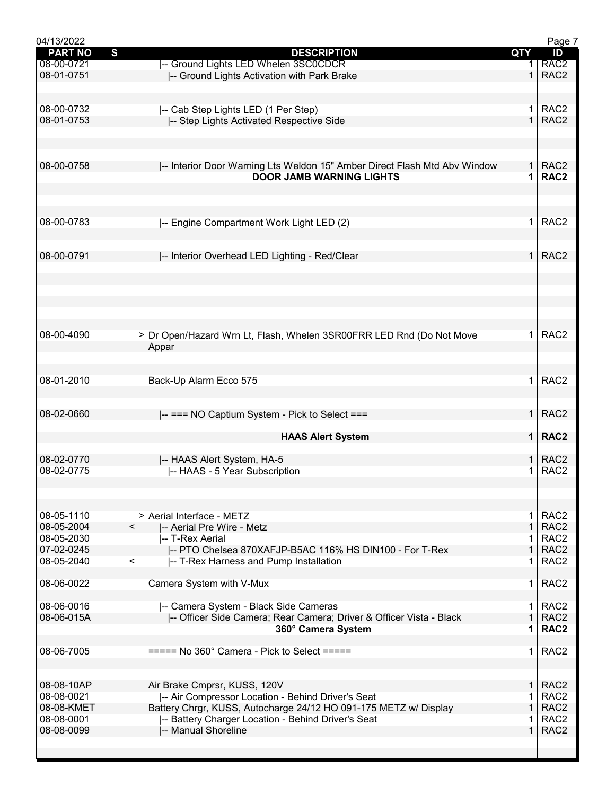| 04/13/2022     |                                                                           |              | Page 7           |
|----------------|---------------------------------------------------------------------------|--------------|------------------|
| <b>PART NO</b> | S<br><b>DESCRIPTION</b>                                                   | QTY          | ID               |
| 08-00-0721     | -- Ground Lights LED Whelen 3SC0CDCR                                      |              | RAC <sub>2</sub> |
| 08-01-0751     | -- Ground Lights Activation with Park Brake                               | $\mathbf{1}$ | RAC <sub>2</sub> |
|                |                                                                           |              |                  |
|                |                                                                           |              |                  |
| 08-00-0732     | -- Cab Step Lights LED (1 Per Step)                                       | 1.           | RAC <sub>2</sub> |
| 08-01-0753     | -- Step Lights Activated Respective Side                                  | $\mathbf{1}$ | RAC <sub>2</sub> |
|                |                                                                           |              |                  |
|                |                                                                           |              |                  |
|                |                                                                           |              |                  |
| 08-00-0758     | -- Interior Door Warning Lts Weldon 15" Amber Direct Flash Mtd Abv Window |              | $1$ RAC2         |
|                | <b>DOOR JAMB WARNING LIGHTS</b>                                           | 1            | RAC <sub>2</sub> |
|                |                                                                           |              |                  |
|                |                                                                           |              |                  |
|                |                                                                           |              |                  |
| 08-00-0783     |                                                                           | 1.           | RAC <sub>2</sub> |
|                | -- Engine Compartment Work Light LED (2)                                  |              |                  |
|                |                                                                           |              |                  |
|                |                                                                           |              |                  |
| 08-00-0791     | -- Interior Overhead LED Lighting - Red/Clear                             | $\mathbf{1}$ | RAC <sub>2</sub> |
|                |                                                                           |              |                  |
|                |                                                                           |              |                  |
|                |                                                                           |              |                  |
|                |                                                                           |              |                  |
|                |                                                                           |              |                  |
|                |                                                                           |              |                  |
| 08-00-4090     | > Dr Open/Hazard Wrn Lt, Flash, Whelen 3SR00FRR LED Rnd (Do Not Move      | $\mathbf{1}$ | RAC <sub>2</sub> |
|                | Appar                                                                     |              |                  |
|                |                                                                           |              |                  |
|                |                                                                           |              |                  |
| 08-01-2010     | Back-Up Alarm Ecco 575                                                    | 1.           | RAC <sub>2</sub> |
|                |                                                                           |              |                  |
|                |                                                                           |              |                  |
| 08-02-0660     |                                                                           | $\mathbf{1}$ | RAC <sub>2</sub> |
|                | -- === NO Captium System - Pick to Select ===                             |              |                  |
|                |                                                                           |              | RAC <sub>2</sub> |
|                | <b>HAAS Alert System</b>                                                  | 1            |                  |
|                |                                                                           |              |                  |
| 08-02-0770     | -- HAAS Alert System, HA-5                                                | 1            | RAC <sub>2</sub> |
| 08-02-0775     | -- HAAS - 5 Year Subscription                                             | 1            | RAC <sub>2</sub> |
|                |                                                                           |              |                  |
|                |                                                                           |              |                  |
|                |                                                                           |              |                  |
| 08-05-1110     | > Aerial Interface - METZ                                                 | $\mathbf 1$  | RAC <sub>2</sub> |
| 08-05-2004     | $\overline{\phantom{0}}$<br>-- Aerial Pre Wire - Metz                     | $\mathbf{1}$ | RAC <sub>2</sub> |
| 08-05-2030     | -- T-Rex Aerial                                                           | 1.           | RAC <sub>2</sub> |
| 07-02-0245     | -- PTO Chelsea 870XAFJP-B5AC 116% HS DIN100 - For T-Rex                   | $\mathbf{1}$ | RAC <sub>2</sub> |
| 08-05-2040     | $\overline{\phantom{0}}$<br>-- T-Rex Harness and Pump Installation        | 1.           | RAC <sub>2</sub> |
|                |                                                                           |              |                  |
| 08-06-0022     | Camera System with V-Mux                                                  | 1.           | RAC <sub>2</sub> |
|                |                                                                           |              |                  |
| 08-06-0016     | -- Camera System - Black Side Cameras                                     | $\mathbf{1}$ | RAC <sub>2</sub> |
| 08-06-015A     | -- Officer Side Camera; Rear Camera; Driver & Officer Vista - Black       | $\mathbf{1}$ | RAC <sub>2</sub> |
|                |                                                                           | 1            | RAC <sub>2</sub> |
|                | 360° Camera System                                                        |              |                  |
|                |                                                                           |              |                  |
| 08-06-7005     | $====$ No 360° Camera - Pick to Select $====$                             | 1.           | RAC <sub>2</sub> |
|                |                                                                           |              |                  |
|                |                                                                           |              |                  |
| 08-08-10AP     | Air Brake Cmprsr, KUSS, 120V                                              | $\mathbf{1}$ | RAC <sub>2</sub> |
| 08-08-0021     | -- Air Compressor Location - Behind Driver's Seat                         | 1.           | RAC <sub>2</sub> |
| 08-08-KMET     | Battery Chrgr, KUSS, Autocharge 24/12 HO 091-175 METZ w/ Display          | $\mathbf{1}$ | RAC <sub>2</sub> |
| 08-08-0001     | -- Battery Charger Location - Behind Driver's Seat                        | 1.           | RAC <sub>2</sub> |
| 08-08-0099     | -- Manual Shoreline                                                       | $\mathbf 1$  | RAC <sub>2</sub> |
|                |                                                                           |              |                  |
|                |                                                                           |              |                  |